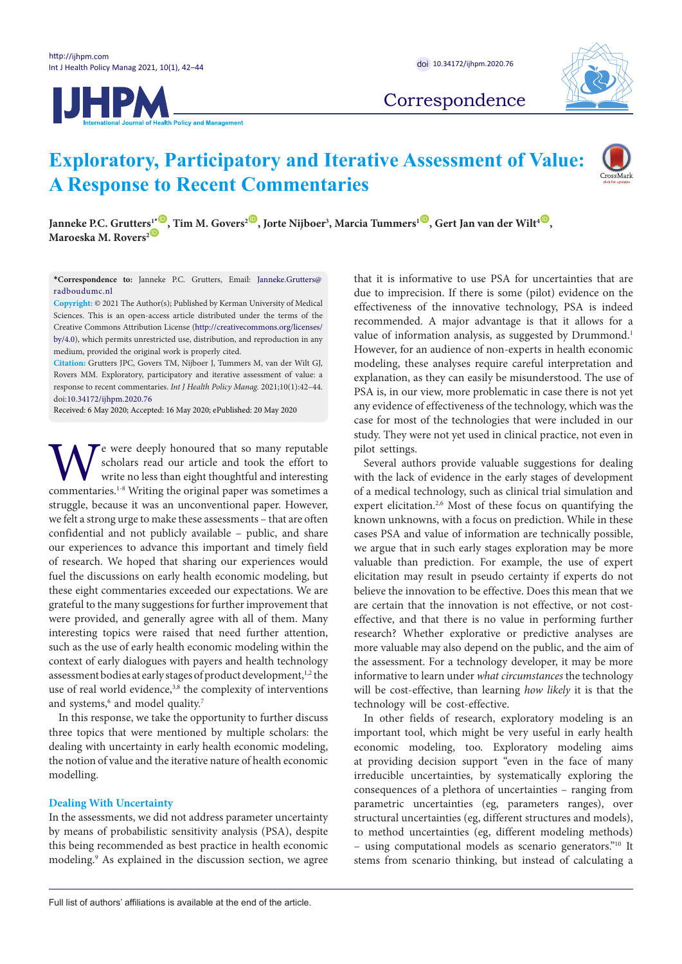



Correspondence

# **Exploratory, Participatory and Iterative Assessment of Value: A Response to Recent Commentaries**



 $J$ anneke P.C. Grutters<sup>1</sup>  $\bullet$ , Tim M. Govers<sup>2 $\bullet$ </sup>, Jorte Nijboer<sup>3</sup>, Marcia Tummers<sup>1 $\bullet$ </sup>, Gert Jan van der Wilt<sup>4 $\bullet$ </sup>, **Maroeska M. Rovers<sup>2</sub><sup>1</sup>**</sup>

<span id="page-0-0"></span>**\*Correspondence to:** Janneke P.C. Grutters, Email: Janneke.Grutters@ radboudumc.nl

**Copyright:** © 2021 The Author(s); Published by Kerman University of Medical Sciences. This is an open-access article distributed under the terms of the Creative Commons Attribution License (http://creativecommons.org/licenses/ by/4.0), which permits unrestricted use, distribution, and reproduction in any medium, provided the original work is properly cited.

**Citation:** Grutters JPC, Govers TM, Nijboer J, Tummers M, van der Wilt GJ, Rovers MM. Exploratory, participatory and iterative assessment of value: a response to recent commentaries. *Int J Health Policy Manag.* 2021;10(1):42–44. doi:[10.34172/ijhpm.2020.76](https://doi.org/10.34172/ijhpm.2020.76)

Received: 6 May 2020; Accepted: 16 May 2020; ePublished: 20 May 2020

We were deeply honoured that so many reputable<br>scholars read our article and took the effort to<br>write no less than eight thoughtful and interesting<br>commentaries.<sup>1-8</sup> Writing the original paper was sometimes a scholars read our article and took the effort to write no less than eight thoughtful and interesting commentaries.1-8 Writing the original paper was sometimes a struggle, because it was an unconventional paper. However, we felt a strong urge to make these assessments – that are often confidential and not publicly available – public, and share our experiences to advance this important and timely field of research. We hoped that sharing our experiences would fuel the discussions on early health economic modeling, but these eight commentaries exceeded our expectations. We are grateful to the many suggestions for further improvement that were provided, and generally agree with all of them. Many interesting topics were raised that need further attention, such as the use of early health economic modeling within the context of early dialogues with payers and health technology assessment bodies at early stages of product development,<sup>1,2</sup> the use of real world evidence,<sup>3,8</sup> the complexity of interventions and systems,<sup>6</sup> and model quality.<sup>7</sup>

In this response, we take the opportunity to further discuss three topics that were mentioned by multiple scholars: the dealing with uncertainty in early health economic modeling, the notion of value and the iterative nature of health economic modelling.

# **Dealing With Uncertainty**

In the assessments, we did not address parameter uncertainty by means of probabilistic sensitivity analysis (PSA), despite this being recommended as best practice in health economic modeling.9 As explained in the discussion section, we agree that it is informative to use PSA for uncertainties that are due to imprecision. If there is some (pilot) evidence on the effectiveness of the innovative technology, PSA is indeed recommended. A major advantage is that it allows for a value of information analysis, as suggested by Drummond.<sup>1</sup> However, for an audience of non-experts in health economic modeling, these analyses require careful interpretation and explanation, as they can easily be misunderstood. The use of PSA is, in our view, more problematic in case there is not yet any evidence of effectiveness of the technology, which was the case for most of the technologies that were included in our study. They were not yet used in clinical practice, not even in pilot settings.

Several authors provide valuable suggestions for dealing with the lack of evidence in the early stages of development of a medical technology, such as clinical trial simulation and expert elicitation.<sup>2,6</sup> Most of these focus on quantifying the known unknowns, with a focus on prediction. While in these cases PSA and value of information are technically possible, we argue that in such early stages exploration may be more valuable than prediction. For example, the use of expert elicitation may result in pseudo certainty if experts do not believe the innovation to be effective. Does this mean that we are certain that the innovation is not effective, or not costeffective, and that there is no value in performing further research? Whether explorative or predictive analyses are more valuable may also depend on the public, and the aim of the assessment. For a technology developer, it may be more informative to learn under *what circumstances* the technology will be cost-effective, than learning *how likely* it is that the technology will be cost-effective.

In other fields of research, exploratory modeling is an important tool, which might be very useful in early health economic modeling, too. Exploratory modeling aims at providing decision support "even in the face of many irreducible uncertainties, by systematically exploring the consequences of a plethora of uncertainties – ranging from parametric uncertainties (eg, parameters ranges), over structural uncertainties (eg, different structures and models), to method uncertainties (eg, different modeling methods) – using computational models as scenario generators."10 It stems from scenario thinking, but instead of calculating a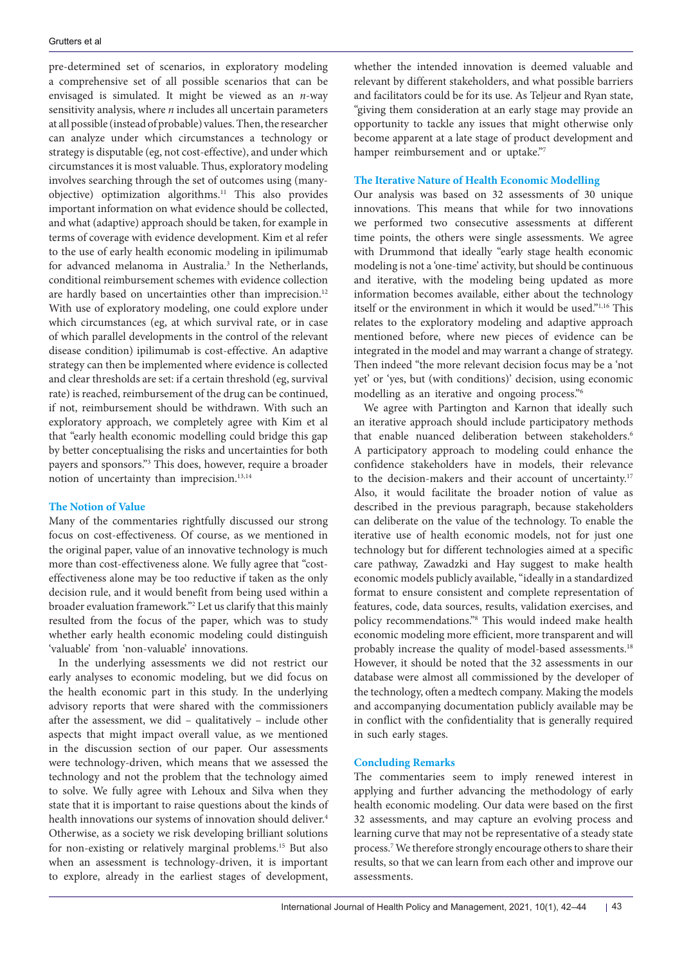pre-determined set of scenarios, in exploratory modeling a comprehensive set of all possible scenarios that can be envisaged is simulated. It might be viewed as an *n*-way sensitivity analysis, where *n* includes all uncertain parameters at all possible (instead of probable) values. Then, the researcher can analyze under which circumstances a technology or strategy is disputable (eg, not cost-effective), and under which circumstances it is most valuable. Thus, exploratory modeling involves searching through the set of outcomes using (manyobjective) optimization algorithms.11 This also provides important information on what evidence should be collected, and what (adaptive) approach should be taken, for example in terms of coverage with evidence development. Kim et al refer to the use of early health economic modeling in ipilimumab for advanced melanoma in Australia.<sup>3</sup> In the Netherlands, conditional reimbursement schemes with evidence collection are hardly based on uncertainties other than imprecision.<sup>12</sup> With use of exploratory modeling, one could explore under which circumstances (eg, at which survival rate, or in case of which parallel developments in the control of the relevant disease condition) ipilimumab is cost-effective. An adaptive strategy can then be implemented where evidence is collected and clear thresholds are set: if a certain threshold (eg, survival rate) is reached, reimbursement of the drug can be continued, if not, reimbursement should be withdrawn. With such an exploratory approach, we completely agree with Kim et al that "early health economic modelling could bridge this gap by better conceptualising the risks and uncertainties for both payers and sponsors."3 This does, however, require a broader notion of uncertainty than imprecision.<sup>13,14</sup>

## **The Notion of Value**

Many of the commentaries rightfully discussed our strong focus on cost-effectiveness. Of course, as we mentioned in the original paper, value of an innovative technology is much more than cost-effectiveness alone. We fully agree that "costeffectiveness alone may be too reductive if taken as the only decision rule, and it would benefit from being used within a broader evaluation framework."2 Let us clarify that this mainly resulted from the focus of the paper, which was to study whether early health economic modeling could distinguish 'valuable' from 'non-valuable' innovations.

In the underlying assessments we did not restrict our early analyses to economic modeling, but we did focus on the health economic part in this study. In the underlying advisory reports that were shared with the commissioners after the assessment, we did – qualitatively – include other aspects that might impact overall value, as we mentioned in the discussion section of our paper. Our assessments were technology-driven, which means that we assessed the technology and not the problem that the technology aimed to solve. We fully agree with Lehoux and Silva when they state that it is important to raise questions about the kinds of health innovations our systems of innovation should deliver.<sup>4</sup> Otherwise, as a society we risk developing brilliant solutions for non-existing or relatively marginal problems.15 But also when an assessment is technology-driven, it is important to explore, already in the earliest stages of development,

whether the intended innovation is deemed valuable and relevant by different stakeholders, and what possible barriers and facilitators could be for its use. As Teljeur and Ryan state, "giving them consideration at an early stage may provide an opportunity to tackle any issues that might otherwise only become apparent at a late stage of product development and hamper reimbursement and or uptake."7

# **The Iterative Nature of Health Economic Modelling**

Our analysis was based on 32 assessments of 30 unique innovations. This means that while for two innovations we performed two consecutive assessments at different time points, the others were single assessments. We agree with Drummond that ideally "early stage health economic modeling is not a 'one-time' activity, but should be continuous and iterative, with the modeling being updated as more information becomes available, either about the technology itself or the environment in which it would be used."1,16 This relates to the exploratory modeling and adaptive approach mentioned before, where new pieces of evidence can be integrated in the model and may warrant a change of strategy. Then indeed "the more relevant decision focus may be a 'not yet' or 'yes, but (with conditions)' decision, using economic modelling as an iterative and ongoing process."6

We agree with Partington and Karnon that ideally such an iterative approach should include participatory methods that enable nuanced deliberation between stakeholders.<sup>6</sup> A participatory approach to modeling could enhance the confidence stakeholders have in models, their relevance to the decision-makers and their account of uncertainty.<sup>17</sup> Also, it would facilitate the broader notion of value as described in the previous paragraph, because stakeholders can deliberate on the value of the technology. To enable the iterative use of health economic models, not for just one technology but for different technologies aimed at a specific care pathway, Zawadzki and Hay suggest to make health economic models publicly available, "ideally in a standardized format to ensure consistent and complete representation of features, code, data sources, results, validation exercises, and policy recommendations."8 This would indeed make health economic modeling more efficient, more transparent and will probably increase the quality of model-based assessments.<sup>18</sup> However, it should be noted that the 32 assessments in our database were almost all commissioned by the developer of the technology, often a medtech company. Making the models and accompanying documentation publicly available may be in conflict with the confidentiality that is generally required in such early stages.

# **Concluding Remarks**

The commentaries seem to imply renewed interest in applying and further advancing the methodology of early health economic modeling. Our data were based on the first 32 assessments, and may capture an evolving process and learning curve that may not be representative of a steady state process.7 We therefore strongly encourage others to share their results, so that we can learn from each other and improve our assessments.